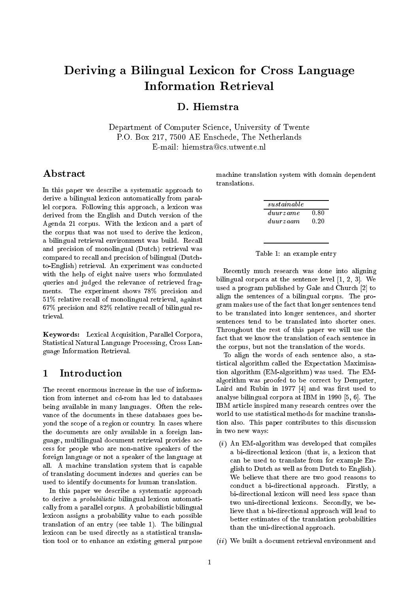# Deriving <sup>a</sup> Bilingual Lexicon for Cross Language

# D. Hiemstra

Department of Computer Science, University of Twente P.O. Box 217, 7500 AE Enschede, The Netherlands E-mail: hiemstra@cs.utwente.nl

## Abstract

In this paper we describe a systematic approach to derive a bilingual lexicon automatically from parallel corpora. Following this approach, a lexicon was derived from the English and Dutch version of the Agenda 21 corpus. With the lexicon and a part of the corpus that was not used to derive the lexicon, a bilingual retrieval environment was build. Recall and precision of monolingual (Dutch) retrieval was compared to recall and precision of bilingual (Dutchto-English) retrieval. An experiment was conducted with the help of eight naive users who formulated queries and judged the relevance of retrieved fragments. The experiment shows 78% precision and 51% relative recall of monolingual retrieval, against 67% precision and 82% relative recall of bilingual retrieval.

Keywords: Lexical Acquisition, Parallel Corpora, Statistical Natural Language Processing, Cross Language Information Retrieval.

#### Introduction  $\mathbf{1}$

The recent enormous increase in the use of information from internet and cd-rom has led to databases being available in many languages. Often the relevance of the documents in these databases goes beyond the scope of a region or country. In cases where the documents are only available in a foreign language, multilingual document retrieval provides access for people who are non-native speakers of the foreign language or not a speaker of the language at all. A machine translation system that is capable of translating document indexes and queries can be used to identify documents for human translation.

In this paper we describe a systematic approach to derive a probabilistic bilingual lexicon automatically from a parallel corpus. A probabilistic bilingual lexicon assigns a probability value to each possible translation of an entry (see table 1). The bilingual lexicon can be used directly as a statistical translation tool or to enhance an existing general purpose machine translation system with domain dependent

| sustainable |      |
|-------------|------|
| duurzame    | 0.80 |
| duurzaam    | 0.20 |

Table 1: an example entry

Recently much research was done into aligning bilingual corpora at the sentence level [1, 2, 3]. We used a program published by Gale and Church [2] to align the sentences of a bilingual corpus. The program makes use of the fact that longer sentences tend to be translated into longer sentences, and shorter sentences tend to be translated into shorter ones. Throughout the rest of this paper we will use the fact that we know the translation of each sentence in the corpus, but not the translation of the words.

To align the words of each sentence also, a statistical algorithm called the Expectation Maximisation algorithm (EM-algorithm) was used. The EMalgorithm was proofed to be correct by Dempster, Laird and Rubin in 1977  $[4]$  and was first used to analyse bilingual corpora at IBM in 1990 [5, 6]. The IBM article inspired many research centres over the world to use statistical methods for machine translation also. This paper contributes to this discussion in two new ways:

- $(i)$  An EM-algorithm was developed that compiles a bi-directional lexicon (that is, a lexicon that can be used to translate from for example English to Dutch as well as from Dutch to English). We believe that there are two good reasons to conduct a bi-directional approach. Firstly, a bi-directional lexicon will need less space than two uni-directional lexicons. Secondly, we believe that a bi-directional approach will lead to better estimates of the translation probabilities than the uni-directional approach.
- (ii) We built a document retrieval environment and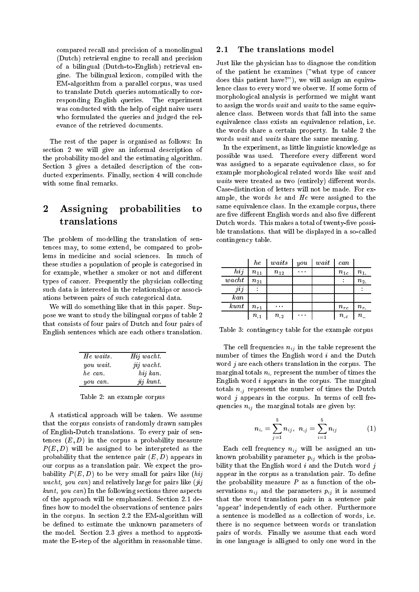compared recall and precision of a monolingual (Dutch) retrieval engine to recall and precision of a bilingual (Dutch-to-English) retrieval engine. The bilingual lexicon, compiled with the EM-algorithm from a parallel corpus, was used to translate Dutch queries automatically to corresponding English queries. The experiment was conducted with the help of eight naive users who formulated the queries and judged the relevance of the retrieved documents.

The rest of the paper is organised as follows: In section 2 we will give an informal description of the probability model and the estimating algorithm. Section 3 gives a detailed description of the conducted experiments. Finally, section 4 will conclude with some final remarks.

# 2 Assigning probabilities to translations

The problem of modelling the translation of sentences may, to some extend, be compared to problems in medicine and social sciences. In much of these studies a population of people is categorised in for example, whether a smoker or not and different types of cancer. Frequently the physician collecting such data is interested in the relationships or associations between pairs of such categorical data.

We will do something like that in this paper. Suppose we want to study the bilingual corpus of table 2 that consists of four pairs of Dutch and four pairs of English sentences which are each others translation.

| He waits. | Hij wacht. |
|-----------|------------|
| you wait. | jij wacht. |
| he can.   | hij kan.   |
| you can.  | jij kunt.  |

Table 2: an example corpus

A statistical approach will be taken. We assume that the corpus consists of randomly drawn samples of English-Dutch translations. To every pair of sentences  $(E, D)$  in the corpus a probability measure P (E ; D) will be assigned to be interpreted as the probability that the sentence pair  $(E, D)$  appears in our corpus as a translation pair. We expect the probability  $P(E, D)$  to be very small for pairs like (hij wacht, you can) and relatively large for pairs like  $(iii)$ kunt, you can) In the following sections three aspects of the approach will be emphasized. Section 2.1 de fines how to model the observations of sentence pairs in the corpus. In section 2.2 the EM-algorithm will be defined to estimate the unknown parameters of the model. Section 2.3 gives a method to approximate the E-step of the algorithm in reasonable time.

## 2.1 The translations model

Just like the physician has to diagnose the condition of the patient he examines ("what type of cancer does this patient have?"), we will assign an equivalence class to every word we observe. If some form of morphological analysis is performed we might want to assign the words wait and waits to the same equivalence class. Between words that fall into the same equivalence class exists an equivalence relation, i.e. the words share a certain property. In table 2 the words wait and waits share the same meaning.

In the experiment, as little linguistic knowledge as possible was used. Therefore every different word was assigned to a separate equivalence class, so for example morphological related words like wait and waits were treated as two (entirely) different words. Case-distinction of letters will not be made. For example, the words he and He were assigned to the same equivalence class. In the example corpus, there are five different English words and also five different Dutch words. This makes a total of twenty-five possible translations. that will be displayed in a so-called contingency table.

|                | he       | waits    | you | wait | can      |                   |
|----------------|----------|----------|-----|------|----------|-------------------|
| hij            | $n_{11}$ | $n_{12}$ | .   |      | $n_{1c}$ | $n_{1}$           |
| $\emph{wacht}$ | $n_{21}$ |          |     |      |          | $n_{2}$           |
| jij            |          |          |     |      |          |                   |
| $_{kan}$       |          |          |     |      |          |                   |
| kunt           | $n_{r1}$ | $\cdots$ |     |      | $n_{rc}$ | $n_r$             |
|                | $n_{.1}$ | $n_{.2}$ | .   |      | $n_{.c}$ | $n_{\cdot \cdot}$ |

Table 3: contingency table for the example corpus

The cell frequencies  $n_{ij}$  in the table represent the number of times the English word <sup>i</sup> and the Dutch word  $j$  are each others translation in the corpus. The marginal totals  $n_i$  represent the number of times the English word  $i$  appears in the corpus. The marginal totals  $n_{i,j}$  represent the number of times the Dutch word  $j$  appears in the corpus. In terms of cell frequencies  $n_{ij}$  the marginal totals are given by:

$$
n_{i.} = \sum_{j=1}^5 n_{ij}, \ \ n_{.j} = \sum_{i=1}^5 n_{ij} \qquad \qquad (1)
$$

Each cell frequency  $n_{ij}$  will be assigned an unknown probability parameter  $p_{ij}$  which is the probability that the English word  $i$  and the Dutch word  $j$ appear in the corpus as a translation pair. To define the probability measure  $P$  as a function of the observations  $n_{ij}$  and the parameters  $p_{ij}$  it is assumed that the word translation pairs in a sentence pair 'appear' independently of each other. Furthermore a sentence is modelled as a collection of words, i.e. there is no sequence between words or translation pairs of words. Finally we assume that each word in one language is alligned to only one word in the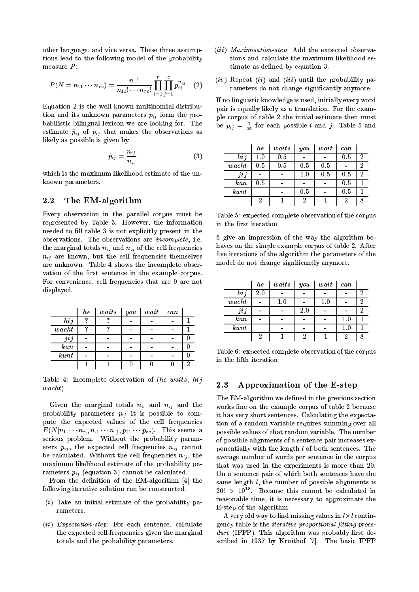other language, and vice versa. These three assumptions lead to the following model of the probability measure  $P$ :

$$
P(N = n_{11} \cdots n_{rc}) = \frac{n_{..}!}{n_{11}! \cdots n_{rc}!} \prod_{i=1}^{r} \prod_{j=1}^{c} p_{ij}^{n_{ij}} \quad (2)
$$

Equation 2 is the well known multinomial distribution and its unknown parameters  $p_{ij}$  form the probabilistic bilingual lexicon we are looking for. The estimate  $\hat{p}_{ij}$  of  $p_{ij}$  that makes the observations as likely as possible is given by

$$
\hat{p}_{ij} = \frac{n_{ij}}{n_{..}} \tag{3}
$$

which is the maximum likelihood estimate of the unknown parameters.

#### $2.2$ The EM-algorithm

Every observation in the parallel corpus must be represented by Table 3. However, the information needed to fill table 3 is not explicitly present in the observations. The observations are incomplete, i.e. the marginal totals  $n_i$  and  $n_i$  of the cell frequencies  $n_{ij}$  are known, but the cell frequencies themselves are unknown. Table 4 shows the incomplete observation of the first sentence in the example corpus. For convenience, cell frequencies that are 0 are not displayed.

|                         | $_{he}$ | waits | you | $wait$ | can |  |
|-------------------------|---------|-------|-----|--------|-----|--|
| hij                     | Ω       | റ     |     |        |     |  |
| $\emph{wacht}$          | ഩ       | ഩ     |     |        |     |  |
| $_{\jmath\imath\jmath}$ |         |       |     |        |     |  |
| $_{kan}$                |         |       |     |        |     |  |
| kunt                    |         |       |     |        |     |  |
|                         |         |       |     |        |     |  |

Table 4: incomplete observation of (he waits, hij wacht)

Given the marginal totals  $n_i$  and  $n_i$  and the probability parameters  $p_{ij}$  it is possible to compute the expected values of the cell frequencies  $E(N|n_1 \cdots n_r, n_{.1} \cdots n_{.j}, p_{11} \cdots p_{rc})$ . This seems a serious problem. Without the probability parameters  $p_{ij}$ , the expected cell frequencies  $n_{ij}$  cannot be calculated. Without the cell frequencies  $n_{ij}$ , the maximum likelihood estimate of the probability parameters  $p_{ij}$  (equation 3) cannot be calculated.

From the definition of the EM-algorithm  $[4]$  the following iterative solution can be constructed.

- $(i)$  Take an initial estimate of the probability parameters.
- (*ii*) Expectation-step: For each sentence, calculate the expected cell frequencies given the marginal totals and the probability parameters.
- (iii) Maximisation-step: Add the expected observations and calculate the maximum likelihood estimate as defined by equation 3.
- $(iv)$  Repeat  $(ii)$  and  $(iii)$  until the probability parameters do not change signicantly anymore.

If no linguistic knowledge is used, initially every word pair is equally likely as a translation. For the example corpus of table 2 the initial estimate then must be  $p_{ij} = \frac{1}{25}$  for each possible *i* and *j*. Table 5 and

|                  | he      | waits | $_{you}$ | wait | can |   |
|------------------|---------|-------|----------|------|-----|---|
| hij              | 1.0     | 0.5   |          |      | 0.5 | 2 |
| $\mathit{wacht}$ | $0.5\,$ | 0.5   | $0.5\,$  | 0.5  |     | າ |
| jij              |         |       | 1.0      | 0.5  | 0.5 |   |
| $\it kan$        | $0.5\,$ |       |          |      | 0.5 |   |
| kunt             |         |       | 0.5      |      | 0.5 |   |
|                  | 2       |       | 2        |      | າ   |   |

Table 5: expected complete observation of the corpus in the first iteration

6 give an impression of the way the algorithm behaves on the simple example corpus of table 2. After five iterations of the algorithm the parameters of the model do not change signicantly anymore.

|                 | he  | waits   | you | $wait$  | can     |  |
|-----------------|-----|---------|-----|---------|---------|--|
| hij             | 2.0 |         |     |         |         |  |
| $\emph{wacht}$  |     | $1.0\,$ |     | $1.0\,$ |         |  |
| $\cdots$<br>jij |     |         | 2.0 |         |         |  |
| $\it kan$       |     |         |     |         | $1.0\,$ |  |
| kunt            |     |         |     |         | $1.0\,$ |  |
|                 | റ   |         |     |         |         |  |

Table 6: expected complete observation of the corpus in the fifth iteration

#### $2.3$ Approximation of the E-step

The EM-algorithm we defined in the previous section works fine on the example corpus of table 2 because it has very short sentences. Calculating the expectation of a random variable requires summing over all possible values of that random variable. The number of possible alignments of a sentence pair increases exponentially with the length  $l$  of both sentences. The average number of words per sentence in the corpus that was used in the experiments is more than 20. On a sentence pair of which both sentences have the same length  $l$ , the number of possible alignments is  $20:$   $>$  10<sup>--</sup>. Decause this cannot be calculated in reasonable time, it is necessary to approximate the E-step of the algorithm.

A very old way to nd missing values in l-l contingency table is the *iterative proportional fitting proce* $dure$  (IPFP). This algorithm was probably first described in 1937 by Kruithof [7]. The basic IPFP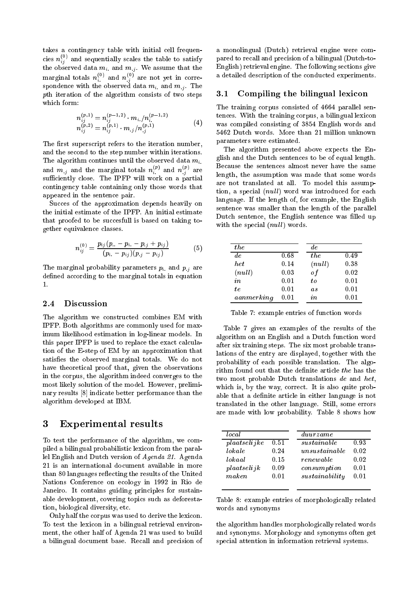takes a contingency table with initial cell frequencies  $n_{i,j}^{<\sim}$  and sequentially scales the table to satisfy the observed data minimum  $\{y_1, \ldots, y_n\}$  . We assume that the theory marginal totals  $n_i^{\cdot\cdot}$  and  $n_{i}^{\cdot}$  are not yet in correspondence with the observed data mixed  $\ldots$  , the observed data mixed and  $\ldots$ pth iteration of the algorithm consists of two steps which form:

$$
n_{ij}^{(p,1)} = n_{ij}^{(p-1,2)} \cdot m_{i.}/n_{i}^{(p-1,2)}
$$
  
\n
$$
n_{ij}^{(p,2)} = n_{ij}^{(p,1)} \cdot m_{.j}/n_{.j}^{(p,1)}
$$
\n(4)

The first superscript refers to the iteration number, and the second to the step number within iterations. The algorithm continues until the observed data  $m_i$ . and  $m_{,j}$  and the marginal totals  $n_i^{(r)}$  and  $n_{,j}^{(r)}$  are sufficiently close. The IPFP will work on a partial contingency table containing only those words that appeared in the sentence pair.

Succes of the approximation depends heavily on the initial estimate of the IPFP. An initial estimate that proofed to be succesfull is based on taking together equivalence classes.

$$
n_{ij}^{(0)} = \frac{p_{ij}(p_{..} - p_{i.} - p_{.j} + p_{ij})}{(p_{i.} - p_{ij})(p_{.j} - p_{ij})}
$$
(5)

The marginal probability parameters  $p_i$  and  $p_j$  are defined according to the marginal totals in equation  $\mathbf{1}$ .

## 2.4 Discussion

The algorithm we constructed combines EM with IPFP. Both algorithms are commonly used for maximum likelihood estimation in log-linear models. In this paper IPFP is used to replace the exact calculation of the E-step of EM by an approximation that satisfies the observed marginal totals. We do not have theoretical proof that, given the observations in the corpus, the algorithm indeed converges to the most likely solution of the model. However, preliminary results [8] indicate better performance than the algorithm developed at IBM.

## 3 Experimental results

To test the performance of the algorithm, we compiled a bilingual probabilistic lexicon from the parallel English and Dutch version of Agenda 21. Agenda 21 is an international document available in more than 80 languages reflecting the results of the United Nations Conference on ecology in 1992 in Rio de Janeiro. It contains guiding principles for sustainable development, covering topics such as deforestation, biological diversity, etc.

Only half the corpus was used to derive the lexicon. To test the lexicon in a bilingual retrieval environment, the other half of Agenda 21 was used to build a bilingual document base. Recall and precision of a monolingual (Dutch) retrieval engine were compared to recall and precision of a bilingual (Dutch-to-English) retrieval engine. The following sections give a detailed description of the conducted experiments.

### 3.1 Compiling the bilingual lexicon

The training corpus consisted of 4664 parallel sentences. With the training corpus, a bilingual lexicon was compiled consisting of 3854 English words and 5462 Dutch words. More than 21 million unknown parameters were estimated.

The algorithm presented above expects the English and the Dutch sentences to be of equal length. Because the sentences almost never have the same length, the assumption was made that some words are not translated at all. To model this assumption, a special (null) word was introduced for each language. If the length of, for example, the English sentence was smaller than the length of the parallel Dutch sentence, the English sentence was filled up with the special  $(null)$  words.

| the        |            | de.            |      |
|------------|------------|----------------|------|
| de.        | 0.68       | the            | 0.49 |
| het        | 0.14       | (null)         | 0.38 |
| (null)     | 0.03       | οf             | 0.02 |
| in         | 0.01       | to             | 0.01 |
| te.        | 0.01       | a <sub>s</sub> | 0.01 |
| aanmerking | $\rm 0.01$ | in             | 0.01 |

Table 7: example entries of function words

Table 7 gives an examples of the results of the algorithm on an English and a Dutch function word after six training steps. The six most probable translations of the entry are displayed, together with the probability of each possible translation. The algorithm found out that the definite article the has the two most probable Dutch translations de and het, which is, by the way, correct. It is also quite probable that a definite article in either language is not translated in the other language. Still, some errors are made with low probability. Table 8 shows how

| local        |      | duurzame       |      |
|--------------|------|----------------|------|
| plaatselijke | 0.51 | sustainable    | 0.93 |
| lokale       | 0.24 | unsustainable  | 0.02 |
| lokaal       | 0.15 | renewable      | 0.02 |
| plaatselijk  | 0.09 | consumption    | 0.01 |
| maken        | 0.01 | sustainability | 0.01 |

Table 8: example entries of morphologically related words and synonyms

the algorithm handles morphologically related words and synonyms. Morphology and synonyms often get special attention in information retrieval systems.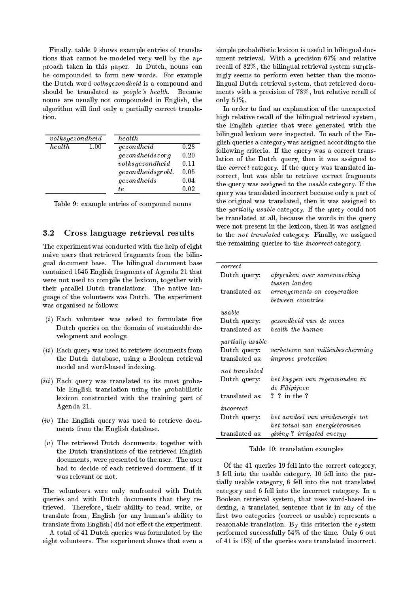Finally, table 9 shows example entries of translations that cannot be modeled very well by the approach taken in this paper. In Dutch, nouns can be compounded to form new words. For example the Dutch word volksgezondheid is a compound and should be translated as people's health. Because nouns are usually not compounded in English, the algorithm will find only a partially correct translation.

| volksgezondheid |      | health                                                                                      |                                      |
|-----------------|------|---------------------------------------------------------------------------------------------|--------------------------------------|
| health          | 1.00 | gezondheid<br>gezondheidszorg<br>volksgezondheid<br><i>gezondheidsprobl.</i><br>gezondheids | 0.28<br>0.20<br>0.11<br>0.05<br>0.04 |
|                 |      | te.                                                                                         | 0.02                                 |

Table 9: example entries of compound nouns

#### $3.2$ 3.2 Cross language retrieval results

The experiment was conducted with the help of eight naive users that retrieved fragments from the bilingual document base. The bilingual document base contained 1545 English fragments of Agenda 21 that were not used to compile the lexicon, together with their parallel Dutch translations. The native language of the volunteers was Dutch. The experiment was organised as follows:

- $(i)$  Each volunteer was asked to formulate five Dutch queries on the domain of sustainable development and ecology.
- $(ii)$  Each query was used to retrieve documents from the Dutch database, using a Boolean retrieval model and word-based indexing.
- $(iii)$  Each query was translated to its most probable English translation using the probabilistic lexicon constructed with the training part of Agenda 21.
- $(iv)$  The English query was used to retrieve documents from the English database.
- (v) The retrieved Dutch documents, together with the Dutch translations of the retrieved English documents, were presented to the user. The user had to decide of each retrieved document, if it was relevant or not.

The volunteers were only confronted with Dutch queries and with Dutch documents that they retrieved. Therefore, their ability to read, write, or translate from, English (or any human's ability to translate from English) did not effect the experiment.

A total of 41 Dutch queries was formulated by the eight volunteers. The experiment shows that even a

simple probabilistic lexicon is useful in bilingual document retrieval. With a precision 67% and relative recall of 82%, the bilingual retrieval system surprisingly seems to perform even better than the monolingual Dutch retrieval system, that retrieved documents with a precision of 78%, but relative recall of only 51%.

In order to find an explanation of the unexpected high relative recall of the bilingual retrieval system, the English queries that were generated with the bilingual lexicon were inspected. To each of the English queries a category was assigned according to the following criteria. If the query was a correct translation of the Dutch query, then it was assigned to the correct category. If the query was translated incorrect, but was able to retrieve correct fragments the query was assigned to the usable category. If the query was translated incorrect because only a part of the original was translated, then it was assigned to the *partially usable* category. If the query could not be translated at all, because the words in the query were not present in the lexicon, then it was assigned to the not translated category. Finally, we assigned the remaining queries to the incorrect category.

| correct                 |                                              |
|-------------------------|----------------------------------------------|
| Dutch query:            | afspraken over samenwerking                  |
| translated as:          | tussen landen<br>arrangements on cooperation |
|                         | between countries                            |
| usable                  |                                              |
| Dutch query:            | gezondheid van de mens                       |
| translated as:          | health the human                             |
| <i>partially usable</i> |                                              |
| Dutch query:            | verbeteren van milieubescherming             |
| translated as:          | <i>improve protection</i>                    |
| not translated          |                                              |
| Dutch query:            | het kappen van regenwouden in                |
|                         | de Filipijnen                                |
| translated as:          | ? ? in the ?                                 |
| incorrect               |                                              |
| Dutch query:            | het aandeel van windenergie tot              |
|                         | het totaal van energiebronnen                |
| translated as:          | giving? irrigated energy                     |

Table 10: translation examples

Of the 41 queries 19 fell into the correct category, 3 fell into the usable category, 10 fell into the partially usable category, 6 fell into the not translated category and 6 fell into the incorrect category. In a Boolean retrieval system, that uses word-based indexing, a translated sentence that is in any of the first two categories (correct or usable) represents a reasonable translation. By this criterion the system performed successfully 54% of the time. Only 6 out of 41 is 15% of the queries were translated incorrect.